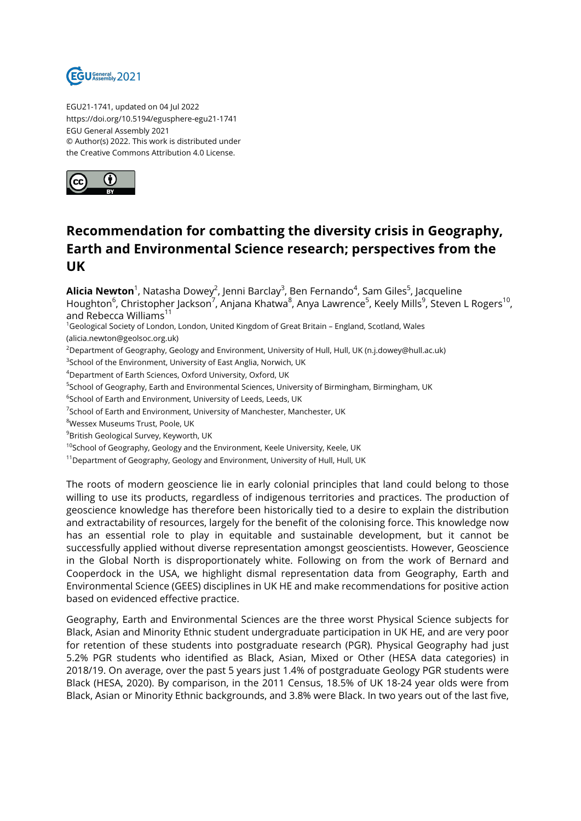

EGU21-1741, updated on 04 Jul 2022 https://doi.org/10.5194/egusphere-egu21-1741 EGU General Assembly 2021 © Author(s) 2022. This work is distributed under the Creative Commons Attribution 4.0 License.



## **Recommendation for combatting the diversity crisis in Geography, Earth and Environmental Science research; perspectives from the UK**

**Alicia Newton**<sup>1</sup>, Natasha Dowey<sup>2</sup>, Jenni Barclay<sup>3</sup>, Ben Fernando<sup>4</sup>, Sam Giles<sup>5</sup>, Jacqueline Houghton<sup>6</sup>, Christopher Jackson<sup>7</sup>, Anjana Khatwa<sup>8</sup>, Anya Lawrence<sup>5</sup>, Keely Mills<sup>9</sup>, Steven L Rogers<sup>10</sup>, and Rebecca Williams<sup>11</sup>

<sup>1</sup>Geological Society of London, London, United Kingdom of Great Britain - England, Scotland, Wales (alicia.newton@geolsoc.org.uk)

<sup>2</sup>Department of Geography, Geology and Environment, University of Hull, Hull, UK (n.j.dowey@hull.ac.uk)

 $^3$ School of the Environment, University of East Anglia, Norwich, UK

<sup>4</sup>Department of Earth Sciences, Oxford University, Oxford, UK

<sup>5</sup>School of Geography, Earth and Environmental Sciences, University of Birmingham, Birmingham, UK

 $^6$ School of Earth and Environment, University of Leeds, Leeds, UK

 $^7$ School of Earth and Environment, University of Manchester, Manchester, UK

<sup>8</sup>Wessex Museums Trust, Poole, UK

<sup>9</sup>British Geological Survey, Keyworth, UK

<sup>10</sup>School of Geography, Geology and the Environment, Keele University, Keele, UK

<sup>11</sup>Department of Geography, Geology and Environment, University of Hull, Hull, UK

The roots of modern geoscience lie in early colonial principles that land could belong to those willing to use its products, regardless of indigenous territories and practices. The production of geoscience knowledge has therefore been historically tied to a desire to explain the distribution and extractability of resources, largely for the benefit of the colonising force. This knowledge now has an essential role to play in equitable and sustainable development, but it cannot be successfully applied without diverse representation amongst geoscientists. However, Geoscience in the Global North is disproportionately white. Following on from the work of Bernard and Cooperdock in the USA, we highlight dismal representation data from Geography, Earth and Environmental Science (GEES) disciplines in UK HE and make recommendations for positive action based on evidenced effective practice.

Geography, Earth and Environmental Sciences are the three worst Physical Science subjects for Black, Asian and Minority Ethnic student undergraduate participation in UK HE, and are very poor for retention of these students into postgraduate research (PGR). Physical Geography had just 5.2% PGR students who identified as Black, Asian, Mixed or Other (HESA data categories) in 2018/19. On average, over the past 5 years just 1.4% of postgraduate Geology PGR students were Black (HESA, 2020). By comparison, in the 2011 Census, 18.5% of UK 18-24 year olds were from Black, Asian or Minority Ethnic backgrounds, and 3.8% were Black. In two years out of the last five,